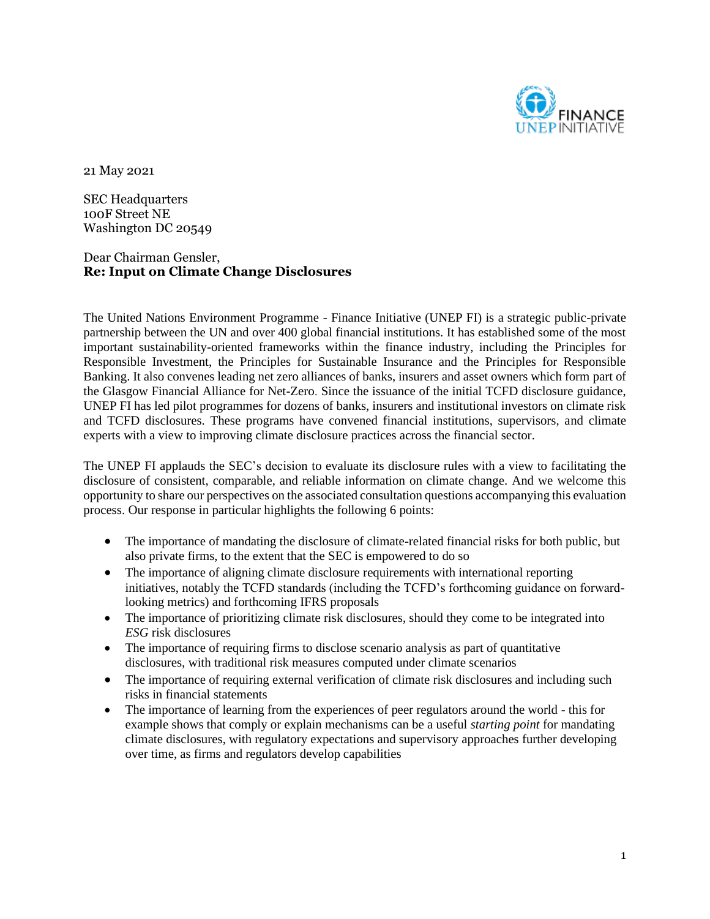

21 May 2021

SEC Headquarters 100F Street NE Washington DC 20549

### Dear Chairman Gensler, **Re: Input on Climate Change Disclosures**

The United Nations Environment Programme - Finance Initiative (UNEP FI) is a strategic public-private partnership between the UN and over 400 global financial institutions. It has established some of the most important sustainability-oriented frameworks within the finance industry, including the Principles for Responsible Investment, the Principles for Sustainable Insurance and the Principles for Responsible Banking. It also convenes leading net zero alliances of banks, insurers and asset owners which form part of the Glasgow Financial Alliance for Net-Zero. Since the issuance of the initial TCFD disclosure guidance, UNEP FI has led pilot programmes for dozens of banks, insurers and institutional investors on climate risk and TCFD disclosures. These programs have convened financial institutions, supervisors, and climate experts with a view to improving climate disclosure practices across the financial sector.

The UNEP FI applauds the SEC's decision to evaluate its disclosure rules with a view to facilitating the disclosure of consistent, comparable, and reliable information on climate change. And we welcome this opportunity to share our perspectives on the associated consultation questions accompanying this evaluation process. Our response in particular highlights the following 6 points:

- The importance of mandating the disclosure of climate-related financial risks for both public, but also private firms, to the extent that the SEC is empowered to do so
- The importance of aligning climate disclosure requirements with international reporting initiatives, notably the TCFD standards (including the TCFD's forthcoming guidance on forwardlooking metrics) and forthcoming IFRS proposals
- The importance of prioritizing climate risk disclosures, should they come to be integrated into *ESG* risk disclosures
- The importance of requiring firms to disclose scenario analysis as part of quantitative disclosures, with traditional risk measures computed under climate scenarios
- The importance of requiring external verification of climate risk disclosures and including such risks in financial statements
- The importance of learning from the experiences of peer regulators around the world this for example shows that comply or explain mechanisms can be a useful *starting point* for mandating climate disclosures, with regulatory expectations and supervisory approaches further developing over time, as firms and regulators develop capabilities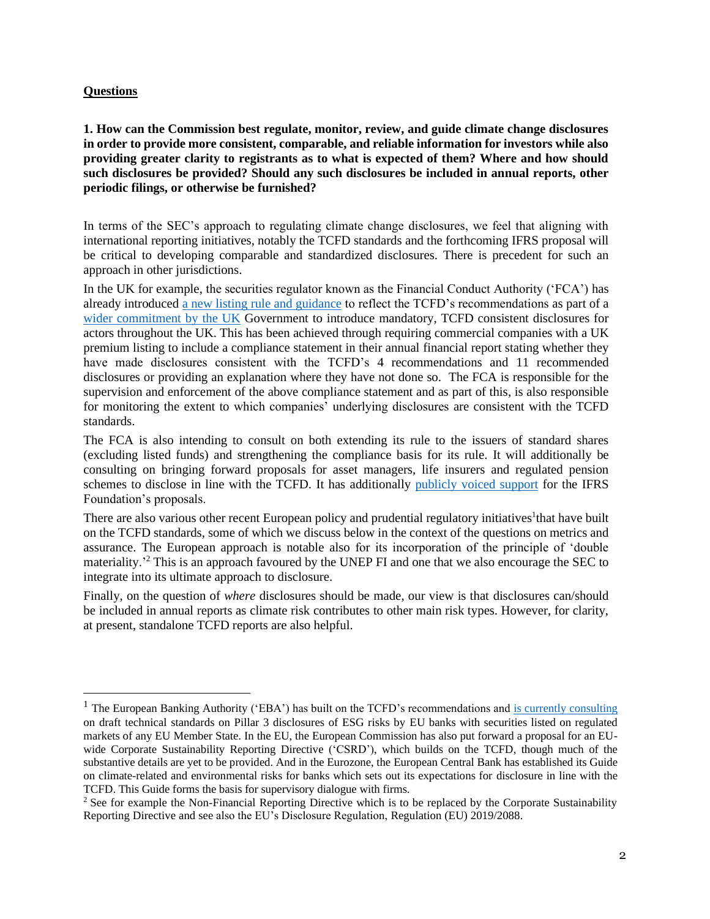#### **Questions**

**1. How can the Commission best regulate, monitor, review, and guide climate change disclosures in order to provide more consistent, comparable, and reliable information for investors while also providing greater clarity to registrants as to what is expected of them? Where and how should such disclosures be provided? Should any such disclosures be included in annual reports, other periodic filings, or otherwise be furnished?**

In terms of the SEC's approach to regulating climate change disclosures, we feel that aligning with international reporting initiatives, notably the TCFD standards and the forthcoming IFRS proposal will be critical to developing comparable and standardized disclosures. There is precedent for such an approach in other jurisdictions.

In the UK for example, the securities regulator known as the Financial Conduct Authority ('FCA') has already introduced [a new listing rule and guidance](https://www.fca.org.uk/publications/policy-statements/ps20-17-proposals-enhance-climate-related-disclosures-listed-issuers-and-clarification-existing) to reflect the TCFD's recommendations as part of a [wider commitment by the UK](https://assets.publishing.service.gov.uk/government/uploads/system/uploads/attachment_data/file/933783/FINAL_TCFD_ROADMAP.pdf) Government to introduce mandatory, TCFD consistent disclosures for actors throughout the UK. This has been achieved through requiring commercial companies with a UK premium listing to include a compliance statement in their annual financial report stating whether they have made disclosures consistent with the TCFD's 4 recommendations and 11 recommended disclosures or providing an explanation where they have not done so. The FCA is responsible for the supervision and enforcement of the above compliance statement and as part of this, is also responsible for monitoring the extent to which companies' underlying disclosures are consistent with the TCFD standards.

The FCA is also intending to consult on both extending its rule to the issuers of standard shares (excluding listed funds) and strengthening the compliance basis for its rule. It will additionally be consulting on bringing forward proposals for asset managers, life insurers and regulated pension schemes to disclose in line with the TCFD. It has additionally [publicly voiced](https://www.fca.org.uk/publication/corporate/fca-response-ifrs-foundation-consultation.pdf) support for the IFRS Foundation's proposals.

There are also various other recent European policy and prudential regulatory initiatives<sup>1</sup> that have built on the TCFD standards, some of which we discuss below in the context of the questions on metrics and assurance. The European approach is notable also for its incorporation of the principle of 'double materiality.'<sup>2</sup> This is an approach favoured by the UNEP FI and one that we also encourage the SEC to integrate into its ultimate approach to disclosure.

Finally, on the question of *where* disclosures should be made, our view is that disclosures can/should be included in annual reports as climate risk contributes to other main risk types. However, for clarity, at present, standalone TCFD reports are also helpful.

<sup>&</sup>lt;sup>1</sup> The European Banking Authority ('EBA') has built on the TCFD's recommendations and [is currently consulting](https://www.eba.europa.eu/eba-launches-public-consultation-draft-technical-standards-pillar-3-disclosures-esg-risks) on draft technical standards on Pillar 3 disclosures of ESG risks by EU banks with securities listed on regulated markets of any EU Member State. In the EU, the European Commission has also put forward a proposal for an EUwide Corporate Sustainability Reporting Directive ('CSRD'), which builds on the TCFD, though much of the substantive details are yet to be provided. And in the Eurozone, the European Central Bank has established its Guide on climate-related and environmental risks for banks which sets out its expectations for disclosure in line with the TCFD. This Guide forms the basis for supervisory dialogue with firms.

<sup>&</sup>lt;sup>2</sup> See for example the Non-Financial Reporting Directive which is to be replaced by the Corporate Sustainability Reporting Directive and see also the EU's Disclosure Regulation, Regulation (EU) 2019/2088.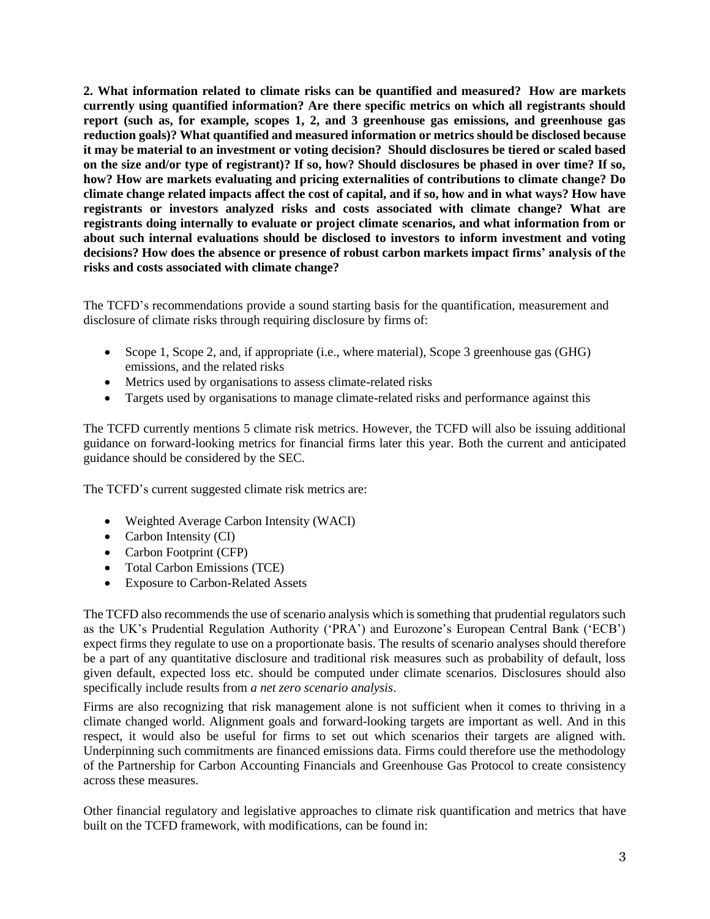**2. What information related to climate risks can be quantified and measured? How are markets currently using quantified information? Are there specific metrics on which all registrants should report (such as, for example, scopes 1, 2, and 3 greenhouse gas emissions, and greenhouse gas reduction goals)? What quantified and measured information or metrics should be disclosed because it may be material to an investment or voting decision? Should disclosures be tiered or scaled based on the size and/or type of registrant)? If so, how? Should disclosures be phased in over time? If so, how? How are markets evaluating and pricing externalities of contributions to climate change? Do climate change related impacts affect the cost of capital, and if so, how and in what ways? How have registrants or investors analyzed risks and costs associated with climate change? What are registrants doing internally to evaluate or project climate scenarios, and what information from or about such internal evaluations should be disclosed to investors to inform investment and voting decisions? How does the absence or presence of robust carbon markets impact firms' analysis of the risks and costs associated with climate change?**

The TCFD's recommendations provide a sound starting basis for the quantification, measurement and disclosure of climate risks through requiring disclosure by firms of:

- Scope 1, Scope 2, and, if appropriate (i.e., where material), Scope 3 greenhouse gas (GHG) emissions, and the related risks
- Metrics used by organisations to assess climate-related risks
- Targets used by organisations to manage climate-related risks and performance against this

The TCFD currently mentions 5 climate risk metrics. However, the TCFD will also be issuing additional guidance on forward-looking metrics for financial firms later this year. Both the current and anticipated guidance should be considered by the SEC.

The TCFD's current suggested climate risk metrics are:

- Weighted Average Carbon Intensity (WACI)
- Carbon Intensity (CI)
- Carbon Footprint (CFP)
- Total Carbon Emissions (TCE)
- Exposure to Carbon-Related Assets

The TCFD also recommends the use of scenario analysis which is something that prudential regulators such as the UK's Prudential Regulation Authority ('PRA') and Eurozone's European Central Bank ('ECB') expect firms they regulate to use on a proportionate basis. The results of scenario analyses should therefore be a part of any quantitative disclosure and traditional risk measures such as probability of default, loss given default, expected loss etc. should be computed under climate scenarios. Disclosures should also specifically include results from *a net zero scenario analysis*.

Firms are also recognizing that risk management alone is not sufficient when it comes to thriving in a climate changed world. Alignment goals and forward-looking targets are important as well. And in this respect, it would also be useful for firms to set out which scenarios their targets are aligned with. Underpinning such commitments are financed emissions data. Firms could therefore use the methodology of the Partnership for Carbon Accounting Financials and Greenhouse Gas Protocol to create consistency across these measures.

Other financial regulatory and legislative approaches to climate risk quantification and metrics that have built on the TCFD framework, with modifications, can be found in: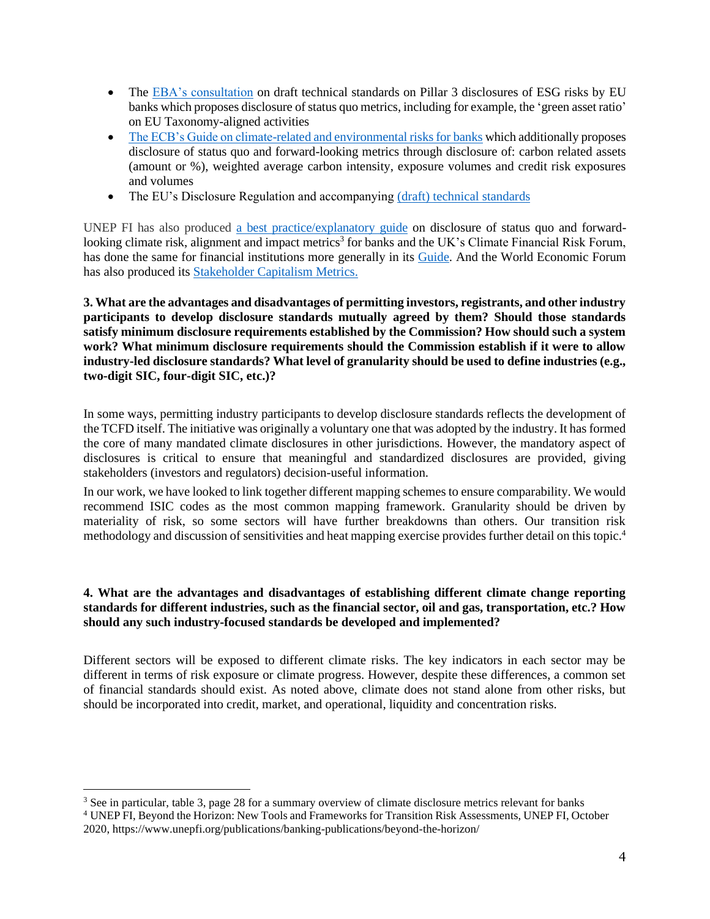- The [EBA's consultation](https://www.eba.europa.eu/implementing-technical-standards-its-prudential-disclosures-esg-risks-accordance-article-449a-crr) on draft technical standards on Pillar 3 disclosures of ESG risks by EU banks which proposes disclosure of status quo metrics, including for example, the 'green asset ratio' on EU Taxonomy-aligned activities
- [The ECB's Guide on climate-related and environmental risks for banks](https://www.bankingsupervision.europa.eu/press/pr/date/2020/html/ssm.pr201127~5642b6e68d.en.html) which additionally proposes disclosure of status quo and forward-looking metrics through disclosure of: carbon related assets (amount or %), weighted average carbon intensity, exposure volumes and credit risk exposures and volumes
- The EU's Disclosure Regulation and accompanying (draft) [technical standards](https://www.esma.europa.eu/sites/default/files/library/jc_2021_03_joint_esas_final_report_on_rts_under_sfdr.pdf)

UNEP FI has also produced [a best practice/explanatory](https://www.iif.com/Publications/ID/4100/IIFUNEP-FI-TCFD-Report-Playbook) guide on disclosure of status quo and forwardlooking climate risk, alignment and impact metrics<sup>3</sup> for banks and the UK's Climate Financial Risk Forum, has done the same for financial institutions more generally in its [Guide.](https://www.fca.org.uk/transparency/climate-financial-risk-forum) And the World Economic Forum has also produced its [Stakeholder Capitalism Metrics.](https://www.weforum.org/reports/measuring-stakeholder-capitalism-towards-common-metrics-and-consistent-reporting-of-sustainable-value-creation)

**3. What are the advantages and disadvantages of permitting investors, registrants, and other industry participants to develop disclosure standards mutually agreed by them? Should those standards satisfy minimum disclosure requirements established by the Commission? How should such a system work? What minimum disclosure requirements should the Commission establish if it were to allow industry-led disclosure standards? What level of granularity should be used to define industries (e.g., two-digit SIC, four-digit SIC, etc.)?**

In some ways, permitting industry participants to develop disclosure standards reflects the development of the TCFD itself. The initiative was originally a voluntary one that was adopted by the industry. It has formed the core of many mandated climate disclosures in other jurisdictions. However, the mandatory aspect of disclosures is critical to ensure that meaningful and standardized disclosures are provided, giving stakeholders (investors and regulators) decision-useful information.

In our work, we have looked to link together different mapping schemes to ensure comparability. We would recommend ISIC codes as the most common mapping framework. Granularity should be driven by materiality of risk, so some sectors will have further breakdowns than others. Our transition risk methodology and discussion of sensitivities and heat mapping exercise provides further detail on this topic.<sup>4</sup>

# **4. What are the advantages and disadvantages of establishing different climate change reporting standards for different industries, such as the financial sector, oil and gas, transportation, etc.? How should any such industry-focused standards be developed and implemented?**

Different sectors will be exposed to different climate risks. The key indicators in each sector may be different in terms of risk exposure or climate progress. However, despite these differences, a common set of financial standards should exist. As noted above, climate does not stand alone from other risks, but should be incorporated into credit, market, and operational, liquidity and concentration risks.

<sup>3</sup> See in particular, table 3, page 28 for a summary overview of climate disclosure metrics relevant for banks

<sup>4</sup> UNEP FI, Beyond the Horizon: New Tools and Frameworks for Transition Risk Assessments, UNEP FI, October 2020, https://www.unepfi.org/publications/banking-publications/beyond-the-horizon/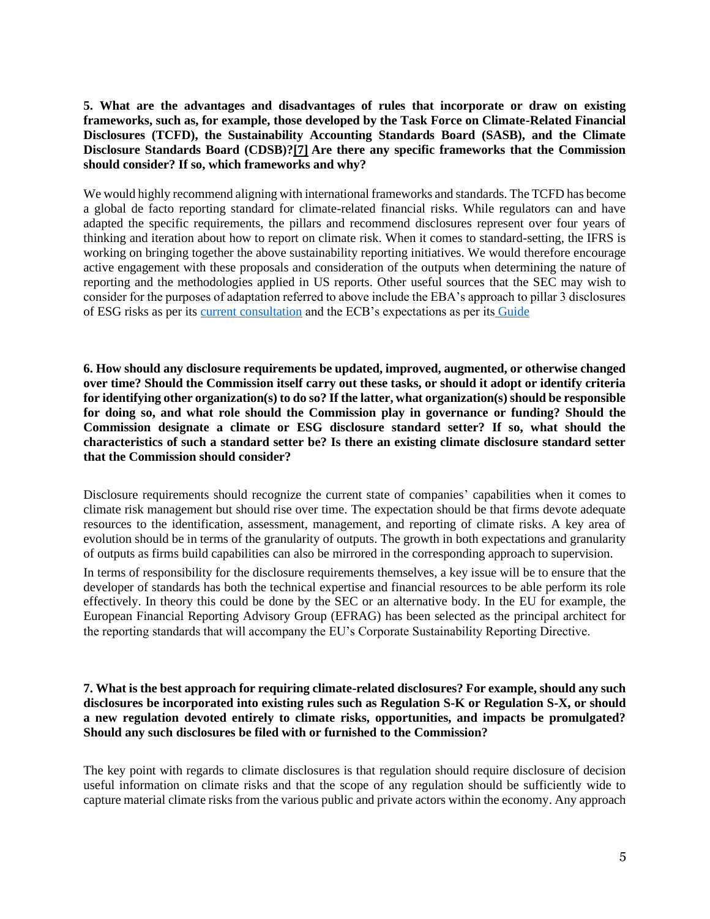**5. What are the advantages and disadvantages of rules that incorporate or draw on existing frameworks, such as, for example, those developed by the Task Force on Climate-Related Financial Disclosures (TCFD), the Sustainability Accounting Standards Board (SASB), and the Climate Disclosure Standards Board (CDSB)[?\[7\]](https://www.sec.gov/news/public-statement/lee-climate-change-disclosures#_ftn7) Are there any specific frameworks that the Commission should consider? If so, which frameworks and why?**

We would highly recommend aligning with international frameworks and standards. The TCFD has become a global de facto reporting standard for climate-related financial risks. While regulators can and have adapted the specific requirements, the pillars and recommend disclosures represent over four years of thinking and iteration about how to report on climate risk. When it comes to standard-setting, the IFRS is working on bringing together the above sustainability reporting initiatives. We would therefore encourage active engagement with these proposals and consideration of the outputs when determining the nature of reporting and the methodologies applied in US reports. Other useful sources that the SEC may wish to consider for the purposes of adaptation referred to above include the EBA's approach to pillar 3 disclosures of ESG risks as per its [current consultation](https://www.eba.europa.eu/eba-launches-public-consultation-draft-technical-standards-pillar-3-disclosures-esg-risks) and the ECB's expectations as per its [Guide](https://www.bankingsupervision.europa.eu/press/pr/date/2020/html/ssm.pr201127~5642b6e68d.en.html)

**6. How should any disclosure requirements be updated, improved, augmented, or otherwise changed over time? Should the Commission itself carry out these tasks, or should it adopt or identify criteria for identifying other organization(s) to do so? If the latter, what organization(s) should be responsible for doing so, and what role should the Commission play in governance or funding? Should the Commission designate a climate or ESG disclosure standard setter? If so, what should the characteristics of such a standard setter be? Is there an existing climate disclosure standard setter that the Commission should consider?**

Disclosure requirements should recognize the current state of companies' capabilities when it comes to climate risk management but should rise over time. The expectation should be that firms devote adequate resources to the identification, assessment, management, and reporting of climate risks. A key area of evolution should be in terms of the granularity of outputs. The growth in both expectations and granularity of outputs as firms build capabilities can also be mirrored in the corresponding approach to supervision.

In terms of responsibility for the disclosure requirements themselves, a key issue will be to ensure that the developer of standards has both the technical expertise and financial resources to be able perform its role effectively. In theory this could be done by the SEC or an alternative body. In the EU for example, the European Financial Reporting Advisory Group (EFRAG) has been selected as the principal architect for the reporting standards that will accompany the EU's Corporate Sustainability Reporting Directive.

### **7. What is the best approach for requiring climate-related disclosures? For example, should any such disclosures be incorporated into existing rules such as Regulation S-K or Regulation S-X, or should a new regulation devoted entirely to climate risks, opportunities, and impacts be promulgated? Should any such disclosures be filed with or furnished to the Commission?**

The key point with regards to climate disclosures is that regulation should require disclosure of decision useful information on climate risks and that the scope of any regulation should be sufficiently wide to capture material climate risks from the various public and private actors within the economy. Any approach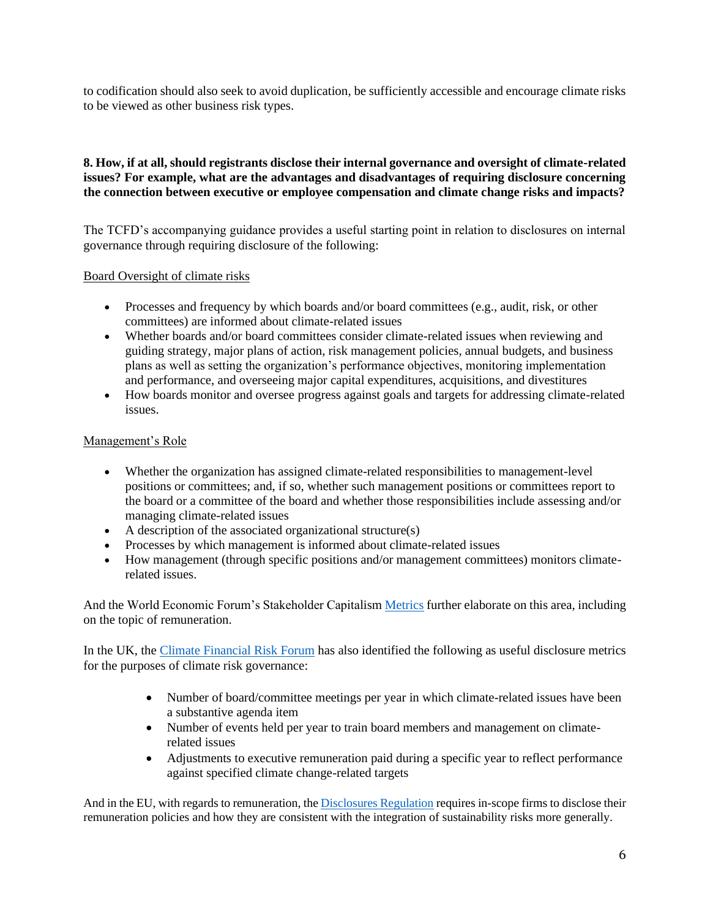to codification should also seek to avoid duplication, be sufficiently accessible and encourage climate risks to be viewed as other business risk types.

# **8. How, if at all, should registrants disclose their internal governance and oversight of climate-related issues? For example, what are the advantages and disadvantages of requiring disclosure concerning the connection between executive or employee compensation and climate change risks and impacts?**

The TCFD's accompanying guidance provides a useful starting point in relation to disclosures on internal governance through requiring disclosure of the following:

### Board Oversight of climate risks

- Processes and frequency by which boards and/or board committees (e.g., audit, risk, or other committees) are informed about climate-related issues
- Whether boards and/or board committees consider climate-related issues when reviewing and guiding strategy, major plans of action, risk management policies, annual budgets, and business plans as well as setting the organization's performance objectives, monitoring implementation and performance, and overseeing major capital expenditures, acquisitions, and divestitures
- How boards monitor and oversee progress against goals and targets for addressing climate-related issues.

# Management's Role

- Whether the organization has assigned climate-related responsibilities to management-level positions or committees; and, if so, whether such management positions or committees report to the board or a committee of the board and whether those responsibilities include assessing and/or managing climate-related issues
- A description of the associated organizational structure(s)
- Processes by which management is informed about climate-related issues
- How management (through specific positions and/or management committees) monitors climaterelated issues.

And the World Economic Forum's Stakeholder Capitalism [Metrics](https://www.weforum.org/reports/measuring-stakeholder-capitalism-towards-common-metrics-and-consistent-reporting-of-sustainable-value-creation) further elaborate on this area, including on the topic of remuneration.

In the UK, the [Climate Financial Risk Forum](https://www.fca.org.uk/transparency/climate-financial-risk-forum) has also identified the following as useful disclosure metrics for the purposes of climate risk governance:

- Number of board/committee meetings per year in which climate-related issues have been a substantive agenda item
- Number of events held per year to train board members and management on climaterelated issues
- Adjustments to executive remuneration paid during a specific year to reflect performance against specified climate change-related targets

And in the EU, with regards to remuneration, th[e Disclosures](https://eur-lex.europa.eu/legal-content/EN/TXT/?uri=celex%3A32019R2088) Regulation requires in-scope firms to disclose their remuneration policies and how they are consistent with the integration of sustainability risks more generally.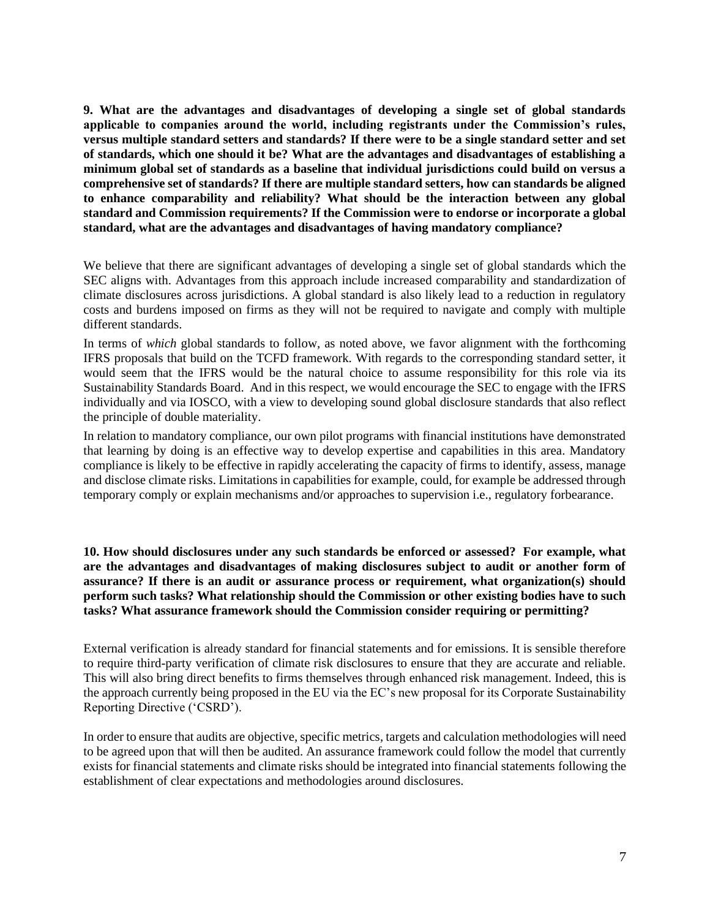**9. What are the advantages and disadvantages of developing a single set of global standards applicable to companies around the world, including registrants under the Commission's rules, versus multiple standard setters and standards? If there were to be a single standard setter and set of standards, which one should it be? What are the advantages and disadvantages of establishing a minimum global set of standards as a baseline that individual jurisdictions could build on versus a comprehensive set of standards? If there are multiple standard setters, how can standards be aligned to enhance comparability and reliability? What should be the interaction between any global standard and Commission requirements? If the Commission were to endorse or incorporate a global standard, what are the advantages and disadvantages of having mandatory compliance?**

We believe that there are significant advantages of developing a single set of global standards which the SEC aligns with. Advantages from this approach include increased comparability and standardization of climate disclosures across jurisdictions. A global standard is also likely lead to a reduction in regulatory costs and burdens imposed on firms as they will not be required to navigate and comply with multiple different standards.

In terms of *which* global standards to follow, as noted above, we favor alignment with the forthcoming IFRS proposals that build on the TCFD framework. With regards to the corresponding standard setter, it would seem that the IFRS would be the natural choice to assume responsibility for this role via its Sustainability Standards Board. And in this respect, we would encourage the SEC to engage with the IFRS individually and via IOSCO, with a view to developing sound global disclosure standards that also reflect the principle of double materiality.

In relation to mandatory compliance, our own pilot programs with financial institutions have demonstrated that learning by doing is an effective way to develop expertise and capabilities in this area. Mandatory compliance is likely to be effective in rapidly accelerating the capacity of firms to identify, assess, manage and disclose climate risks. Limitations in capabilities for example, could, for example be addressed through temporary comply or explain mechanisms and/or approaches to supervision i.e., regulatory forbearance.

**10. How should disclosures under any such standards be enforced or assessed? For example, what are the advantages and disadvantages of making disclosures subject to audit or another form of assurance? If there is an audit or assurance process or requirement, what organization(s) should perform such tasks? What relationship should the Commission or other existing bodies have to such tasks? What assurance framework should the Commission consider requiring or permitting?**

External verification is already standard for financial statements and for emissions. It is sensible therefore to require third-party verification of climate risk disclosures to ensure that they are accurate and reliable. This will also bring direct benefits to firms themselves through enhanced risk management. Indeed, this is the approach currently being proposed in the EU via the EC's new proposal for its Corporate Sustainability Reporting Directive ('CSRD').

In order to ensure that audits are objective, specific metrics, targets and calculation methodologies will need to be agreed upon that will then be audited. An assurance framework could follow the model that currently exists for financial statements and climate risks should be integrated into financial statements following the establishment of clear expectations and methodologies around disclosures.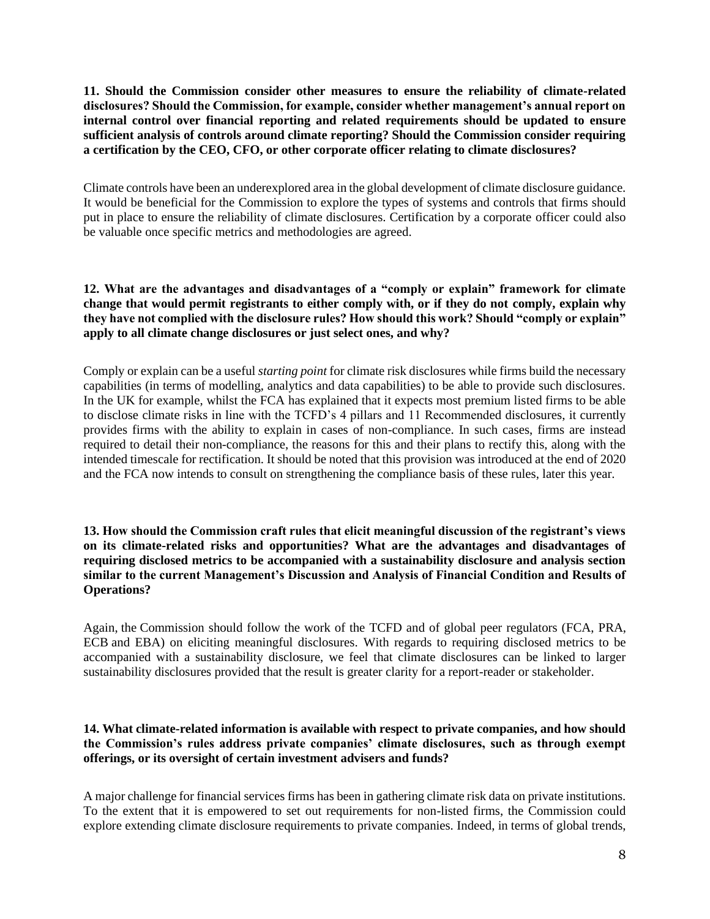**11. Should the Commission consider other measures to ensure the reliability of climate-related disclosures? Should the Commission, for example, consider whether management's annual report on internal control over financial reporting and related requirements should be updated to ensure sufficient analysis of controls around climate reporting? Should the Commission consider requiring a certification by the CEO, CFO, or other corporate officer relating to climate disclosures?**

Climate controls have been an underexplored area in the global development of climate disclosure guidance. It would be beneficial for the Commission to explore the types of systems and controls that firms should put in place to ensure the reliability of climate disclosures. Certification by a corporate officer could also be valuable once specific metrics and methodologies are agreed.

**12. What are the advantages and disadvantages of a "comply or explain" framework for climate change that would permit registrants to either comply with, or if they do not comply, explain why they have not complied with the disclosure rules? How should this work? Should "comply or explain" apply to all climate change disclosures or just select ones, and why?**

Comply or explain can be a useful *starting point* for climate risk disclosures while firms build the necessary capabilities (in terms of modelling, analytics and data capabilities) to be able to provide such disclosures. In the UK for example, whilst the FCA has explained that it expects most premium listed firms to be able to disclose climate risks in line with the TCFD's 4 pillars and 11 Recommended disclosures, it currently provides firms with the ability to explain in cases of non-compliance. In such cases, firms are instead required to detail their non-compliance, the reasons for this and their plans to rectify this, along with the intended timescale for rectification. It should be noted that this provision was introduced at the end of 2020 and the FCA now intends to consult on strengthening the compliance basis of these rules, later this year.

**13. How should the Commission craft rules that elicit meaningful discussion of the registrant's views on its climate-related risks and opportunities? What are the advantages and disadvantages of requiring disclosed metrics to be accompanied with a sustainability disclosure and analysis section similar to the current Management's Discussion and Analysis of Financial Condition and Results of Operations?**

Again, the Commission should follow the work of the TCFD and of global peer regulators (FCA, PRA, ECB and EBA) on eliciting meaningful disclosures. With regards to requiring disclosed metrics to be accompanied with a sustainability disclosure, we feel that climate disclosures can be linked to larger sustainability disclosures provided that the result is greater clarity for a report-reader or stakeholder.

### **14. What climate-related information is available with respect to private companies, and how should the Commission's rules address private companies' climate disclosures, such as through exempt offerings, or its oversight of certain investment advisers and funds?**

A major challenge for financial services firms has been in gathering climate risk data on private institutions. To the extent that it is empowered to set out requirements for non-listed firms, the Commission could explore extending climate disclosure requirements to private companies. Indeed, in terms of global trends,